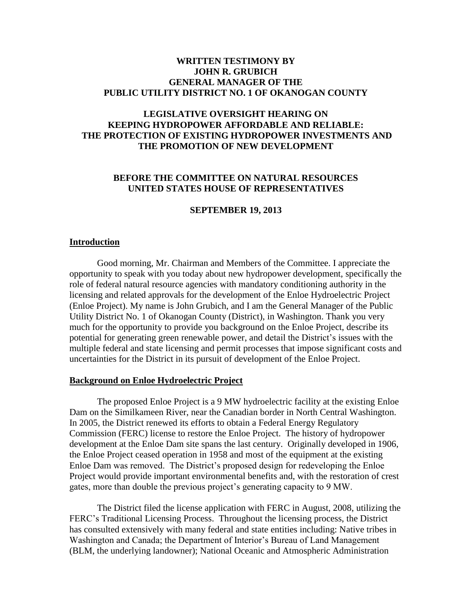## **WRITTEN TESTIMONY BY JOHN R. GRUBICH GENERAL MANAGER OF THE PUBLIC UTILITY DISTRICT NO. 1 OF OKANOGAN COUNTY**

# **LEGISLATIVE OVERSIGHT HEARING ON KEEPING HYDROPOWER AFFORDABLE AND RELIABLE: THE PROTECTION OF EXISTING HYDROPOWER INVESTMENTS AND THE PROMOTION OF NEW DEVELOPMENT**

# **BEFORE THE COMMITTEE ON NATURAL RESOURCES UNITED STATES HOUSE OF REPRESENTATIVES**

### **SEPTEMBER 19, 2013**

### **Introduction**

Good morning, Mr. Chairman and Members of the Committee. I appreciate the opportunity to speak with you today about new hydropower development, specifically the role of federal natural resource agencies with mandatory conditioning authority in the licensing and related approvals for the development of the Enloe Hydroelectric Project (Enloe Project). My name is John Grubich, and I am the General Manager of the Public Utility District No. 1 of Okanogan County (District), in Washington. Thank you very much for the opportunity to provide you background on the Enloe Project, describe its potential for generating green renewable power, and detail the District's issues with the multiple federal and state licensing and permit processes that impose significant costs and uncertainties for the District in its pursuit of development of the Enloe Project.

### **Background on Enloe Hydroelectric Project**

The proposed Enloe Project is a 9 MW hydroelectric facility at the existing Enloe Dam on the Similkameen River, near the Canadian border in North Central Washington. In 2005, the District renewed its efforts to obtain a Federal Energy Regulatory Commission (FERC) license to restore the Enloe Project. The history of hydropower development at the Enloe Dam site spans the last century. Originally developed in 1906, the Enloe Project ceased operation in 1958 and most of the equipment at the existing Enloe Dam was removed. The District's proposed design for redeveloping the Enloe Project would provide important environmental benefits and, with the restoration of crest gates, more than double the previous project's generating capacity to 9 MW.

The District filed the license application with FERC in August, 2008, utilizing the FERC's Traditional Licensing Process. Throughout the licensing process, the District has consulted extensively with many federal and state entities including: Native tribes in Washington and Canada; the Department of Interior's Bureau of Land Management (BLM, the underlying landowner); National Oceanic and Atmospheric Administration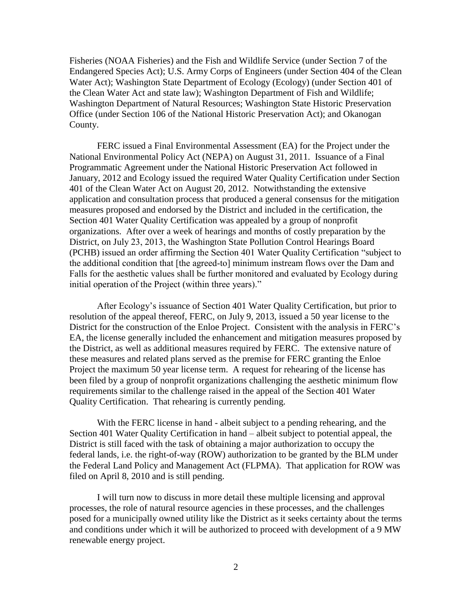Fisheries (NOAA Fisheries) and the Fish and Wildlife Service (under Section 7 of the Endangered Species Act); U.S. Army Corps of Engineers (under Section 404 of the Clean Water Act); Washington State Department of Ecology (Ecology) (under Section 401 of the Clean Water Act and state law); Washington Department of Fish and Wildlife; Washington Department of Natural Resources; Washington State Historic Preservation Office (under Section 106 of the National Historic Preservation Act); and Okanogan County.

FERC issued a Final Environmental Assessment (EA) for the Project under the National Environmental Policy Act (NEPA) on August 31, 2011. Issuance of a Final Programmatic Agreement under the National Historic Preservation Act followed in January, 2012 and Ecology issued the required Water Quality Certification under Section 401 of the Clean Water Act on August 20, 2012. Notwithstanding the extensive application and consultation process that produced a general consensus for the mitigation measures proposed and endorsed by the District and included in the certification, the Section 401 Water Quality Certification was appealed by a group of nonprofit organizations. After over a week of hearings and months of costly preparation by the District, on July 23, 2013, the Washington State Pollution Control Hearings Board (PCHB) issued an order affirming the Section 401 Water Quality Certification "subject to the additional condition that [the agreed-to] minimum instream flows over the Dam and Falls for the aesthetic values shall be further monitored and evaluated by Ecology during initial operation of the Project (within three years)."

After Ecology's issuance of Section 401 Water Quality Certification, but prior to resolution of the appeal thereof, FERC, on July 9, 2013, issued a 50 year license to the District for the construction of the Enloe Project. Consistent with the analysis in FERC's EA, the license generally included the enhancement and mitigation measures proposed by the District, as well as additional measures required by FERC. The extensive nature of these measures and related plans served as the premise for FERC granting the Enloe Project the maximum 50 year license term. A request for rehearing of the license has been filed by a group of nonprofit organizations challenging the aesthetic minimum flow requirements similar to the challenge raised in the appeal of the Section 401 Water Quality Certification. That rehearing is currently pending.

With the FERC license in hand - albeit subject to a pending rehearing, and the Section 401 Water Quality Certification in hand – albeit subject to potential appeal, the District is still faced with the task of obtaining a major authorization to occupy the federal lands, i.e. the right-of-way (ROW) authorization to be granted by the BLM under the Federal Land Policy and Management Act (FLPMA). That application for ROW was filed on April 8, 2010 and is still pending.

I will turn now to discuss in more detail these multiple licensing and approval processes, the role of natural resource agencies in these processes, and the challenges posed for a municipally owned utility like the District as it seeks certainty about the terms and conditions under which it will be authorized to proceed with development of a 9 MW renewable energy project.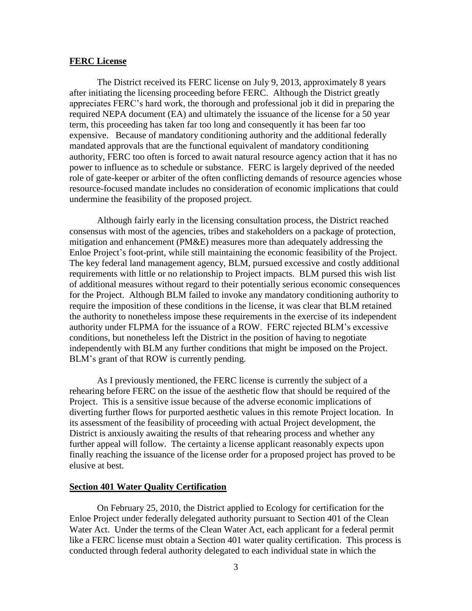#### **FERC License**

The District received its FERC license on July 9, 2013, approximately 8 years after initiating the licensing proceeding before FERC. Although the District greatly appreciates FERC's hard work, the thorough and professional job it did in preparing the required NEPA document (EA) and ultimately the issuance of the license for a 50 year term, this proceeding has taken far too long and consequently it has been far too expensive. Because of mandatory conditioning authority and the additional federally mandated approvals that are the functional equivalent of mandatory conditioning authority, FERC too often is forced to await natural resource agency action that it has no power to influence as to schedule or substance. FERC is largely deprived of the needed role of gate-keeper or arbiter of the often conflicting demands of resource agencies whose resource-focused mandate includes no consideration of economic implications that could undermine the feasibility of the proposed project.

Although fairly early in the licensing consultation process, the District reached consensus with most of the agencies, tribes and stakeholders on a package of protection, mitigation and enhancement (PM&E) measures more than adequately addressing the Enloe Project's foot-print, while still maintaining the economic feasibility of the Project. The key federal land management agency, BLM, pursued excessive and costly additional requirements with little or no relationship to Project impacts. BLM pursed this wish list of additional measures without regard to their potentially serious economic consequences for the Project. Although BLM failed to invoke any mandatory conditioning authority to require the imposition of these conditions in the license, it was clear that BLM retained the authority to nonetheless impose these requirements in the exercise of its independent authority under FLPMA for the issuance of a ROW. FERC rejected BLM's excessive conditions, but nonetheless left the District in the position of having to negotiate independently with BLM any further conditions that might be imposed on the Project. BLM's grant of that ROW is currently pending.

As I previously mentioned, the FERC license is currently the subject of a rehearing before FERC on the issue of the aesthetic flow that should be required of the Project. This is a sensitive issue because of the adverse economic implications of diverting further flows for purported aesthetic values in this remote Project location. In its assessment of the feasibility of proceeding with actual Project development, the District is anxiously awaiting the results of that rehearing process and whether any further appeal will follow. The certainty a license applicant reasonably expects upon finally reaching the issuance of the license order for a proposed project has proved to be elusive at best.

#### **Section 401 Water Quality Certification**

On February 25, 2010, the District applied to Ecology for certification for the Enloe Project under federally delegated authority pursuant to Section 401 of the Clean Water Act. Under the terms of the Clean Water Act, each applicant for a federal permit like a FERC license must obtain a Section 401 water quality certification. This process is conducted through federal authority delegated to each individual state in which the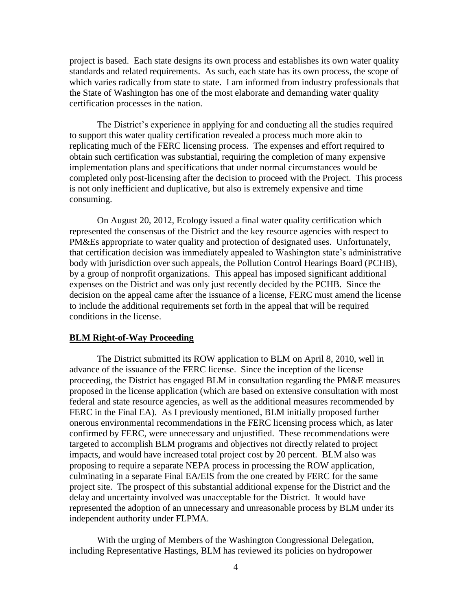project is based. Each state designs its own process and establishes its own water quality standards and related requirements. As such, each state has its own process, the scope of which varies radically from state to state. I am informed from industry professionals that the State of Washington has one of the most elaborate and demanding water quality certification processes in the nation.

The District's experience in applying for and conducting all the studies required to support this water quality certification revealed a process much more akin to replicating much of the FERC licensing process. The expenses and effort required to obtain such certification was substantial, requiring the completion of many expensive implementation plans and specifications that under normal circumstances would be completed only post-licensing after the decision to proceed with the Project. This process is not only inefficient and duplicative, but also is extremely expensive and time consuming.

On August 20, 2012, Ecology issued a final water quality certification which represented the consensus of the District and the key resource agencies with respect to PM&Es appropriate to water quality and protection of designated uses. Unfortunately, that certification decision was immediately appealed to Washington state's administrative body with jurisdiction over such appeals, the Pollution Control Hearings Board (PCHB), by a group of nonprofit organizations. This appeal has imposed significant additional expenses on the District and was only just recently decided by the PCHB. Since the decision on the appeal came after the issuance of a license, FERC must amend the license to include the additional requirements set forth in the appeal that will be required conditions in the license.

#### **BLM Right-of-Way Proceeding**

The District submitted its ROW application to BLM on April 8, 2010, well in advance of the issuance of the FERC license. Since the inception of the license proceeding, the District has engaged BLM in consultation regarding the PM&E measures proposed in the license application (which are based on extensive consultation with most federal and state resource agencies, as well as the additional measures recommended by FERC in the Final EA). As I previously mentioned, BLM initially proposed further onerous environmental recommendations in the FERC licensing process which, as later confirmed by FERC, were unnecessary and unjustified. These recommendations were targeted to accomplish BLM programs and objectives not directly related to project impacts, and would have increased total project cost by 20 percent. BLM also was proposing to require a separate NEPA process in processing the ROW application, culminating in a separate Final EA/EIS from the one created by FERC for the same project site. The prospect of this substantial additional expense for the District and the delay and uncertainty involved was unacceptable for the District. It would have represented the adoption of an unnecessary and unreasonable process by BLM under its independent authority under FLPMA.

With the urging of Members of the Washington Congressional Delegation, including Representative Hastings, BLM has reviewed its policies on hydropower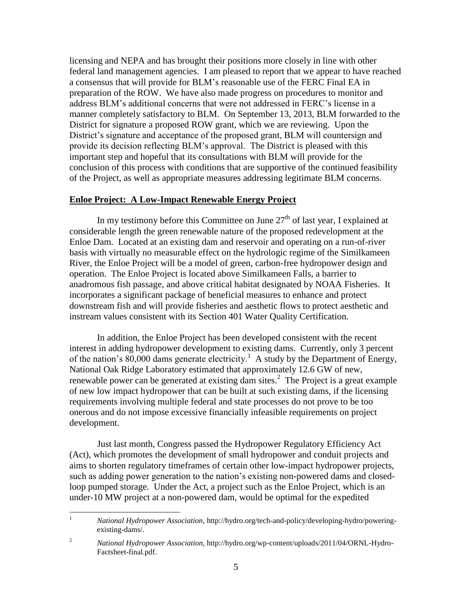licensing and NEPA and has brought their positions more closely in line with other federal land management agencies. I am pleased to report that we appear to have reached a consensus that will provide for BLM's reasonable use of the FERC Final EA in preparation of the ROW. We have also made progress on procedures to monitor and address BLM's additional concerns that were not addressed in FERC's license in a manner completely satisfactory to BLM. On September 13, 2013, BLM forwarded to the District for signature a proposed ROW grant, which we are reviewing. Upon the District's signature and acceptance of the proposed grant, BLM will countersign and provide its decision reflecting BLM's approval. The District is pleased with this important step and hopeful that its consultations with BLM will provide for the conclusion of this process with conditions that are supportive of the continued feasibility of the Project, as well as appropriate measures addressing legitimate BLM concerns.

### **Enloe Project: A Low-Impact Renewable Energy Project**

In my testimony before this Committee on June  $27<sup>th</sup>$  of last year, I explained at considerable length the green renewable nature of the proposed redevelopment at the Enloe Dam. Located at an existing dam and reservoir and operating on a run-of-river basis with virtually no measurable effect on the hydrologic regime of the Similkameen River, the Enloe Project will be a model of green, carbon-free hydropower design and operation. The Enloe Project is located above Similkameen Falls, a barrier to anadromous fish passage, and above critical habitat designated by NOAA Fisheries. It incorporates a significant package of beneficial measures to enhance and protect downstream fish and will provide fisheries and aesthetic flows to protect aesthetic and instream values consistent with its Section 401 Water Quality Certification.

In addition, the Enloe Project has been developed consistent with the recent interest in adding hydropower development to existing dams. Currently, only 3 percent of the nation's  $80,000$  dams generate electricity.<sup>1</sup> A study by the Department of Energy, National Oak Ridge Laboratory estimated that approximately 12.6 GW of new, renewable power can be generated at existing dam sites.<sup>2</sup> The Project is a great example of new low impact hydropower that can be built at such existing dams, if the licensing requirements involving multiple federal and state processes do not prove to be too onerous and do not impose excessive financially infeasible requirements on project development.

Just last month, Congress passed the Hydropower Regulatory Efficiency Act (Act), which promotes the development of small hydropower and conduit projects and aims to shorten regulatory timeframes of certain other low-impact hydropower projects, such as adding power generation to the nation's existing non-powered dams and closedloop pumped storage. Under the Act, a project such as the Enloe Project, which is an under-10 MW project at a non-powered dam, would be optimal for the expedited

 $\mathbf{1}$ <sup>1</sup> *National Hydropower Association*, [http://hydro.org/tech-and-policy/developing-hydro/powering](http://hydro.org/tech-and-policy/developing-hydro/powering-existing-dams/)[existing-dams/.](http://hydro.org/tech-and-policy/developing-hydro/powering-existing-dams/)

<sup>2</sup> *National Hydropower Association*, [http://hydro.org/wp-content/uploads/2011/04/ORNL-Hydro-](http://hydro.org/wp-content/uploads/2011/04/ORNL-Hydro-Factsheet-final.pdf)[Factsheet-final.pdf.](http://hydro.org/wp-content/uploads/2011/04/ORNL-Hydro-Factsheet-final.pdf)